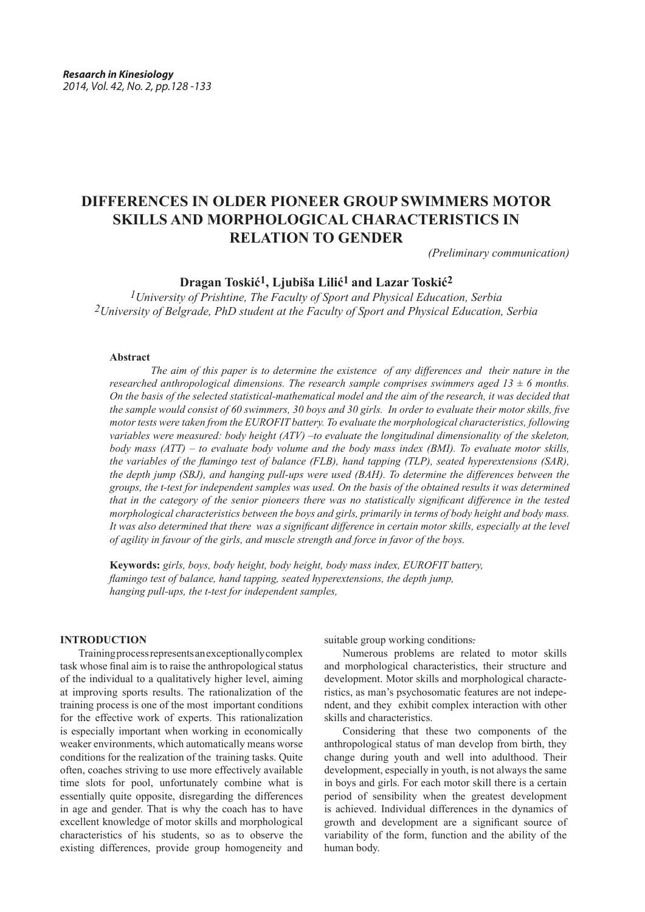# **DIFFERENCES IN OLDER PIONEER GROUP SWIMMERS MOTOR SKILLS AND MORPHOLOGICAL CHARACTERISTICS IN RELATION TO GENDER**

*(Preliminary communication)*

# **Dragan Toskić1, Ljubiša Lilić1 and Lazar Toskić2**

*1University of Prishtine, The Faculty of Sport and Physical Education, Serbia 2University of Belgrade, PhD student at the Faculty of Sport and Physical Education, Serbia*

#### **Abstract**

 *The aim of this paper is to determine the existence of any differences and their nature in the researched anthropological dimensions. The research sample comprises swimmers aged 13 ± 6 months. On the basis of the selected statistical-mathematical model and the aim of the research, it was decided that the sample would consist of 60 swimmers, 30 boys and 30 girls. In order to evaluate their motor skills, five motor tests were taken from the EUROFIT battery. To evaluate the morphological characteristics, following variables were measured: body height (ATV) –to evaluate the longitudinal dimensionality of the skeleton, body mass (ATT) – to evaluate body volume and the body mass index (BMI). To evaluate motor skills, the variables of the flamingo test of balance (FLB), hand tapping (TLP), seated hyperextensions (SAR), the depth jump (SBJ), and hanging pull-ups were used (BAH). To determine the differences between the groups, the t-test for independent samples was used. On the basis of the obtained results it was determined that in the category of the senior pioneers there was no statistically significant difference in the tested morphological characteristics between the boys and girls, primarily in terms of body height and body mass. It was also determined that there was a significant difference in certain motor skills, especially at the level of agility in favour of the girls, and muscle strength and force in favor of the boys.* 

**Keywords:** *girls, boys, body height, body height, body mass index, EUROFIT battery, flamingo test of balance, hand tapping, seated hyperextensions, the depth jump, hanging pull-ups, the t-test for independent samples,*

## **INTRODUCTION**

Training process represents an exceptionally complex task whose final aim is to raise the anthropological status of the individual to a qualitatively higher level, aiming at improving sports results. The rationalization of the training process is one of the most important conditions for the effective work of experts. This rationalization is especially important when working in economically weaker environments, which automatically means worse conditions for the realization of the training tasks. Quite often, coaches striving to use more effectively available time slots for pool, unfortunately combine what is essentially quite opposite, disregarding the differences in age and gender. That is why the coach has to have excellent knowledge of motor skills and morphological characteristics of his students, so as to observe the existing differences, provide group homogeneity and

suitable group working conditions.

Numerous problems are related to motor skills and morphological characteristics, their structure and development. Motor skills and morphological characteristics, as man's psychosomatic features are not independent, and they exhibit complex interaction with other skills and characteristics.

Considering that these two components of the anthropological status of man develop from birth, they change during youth and well into adulthood. Their development, especially in youth, is not always the same in boys and girls. For each motor skill there is a certain period of sensibility when the greatest development is achieved. Individual differences in the dynamics of growth and development are a significant source of variability of the form, function and the ability of the human body.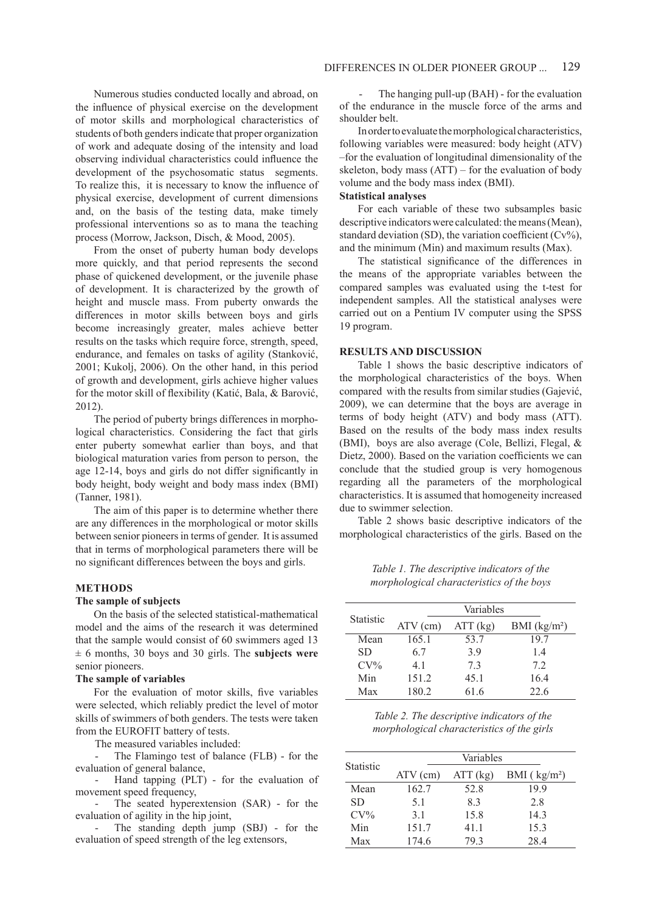Numerous studies conducted locally and abroad, on the influence of physical exercise on the development of motor skills and morphological characteristics of students of both genders indicate that proper organization of work and adequate dosing of the intensity and load observing individual characteristics could influence the development of the psychosomatic status segments. To realize this, it is necessary to know the influence of physical exercise, development of current dimensions and, on the basis of the testing data, make timely professional interventions so as to mana the teaching process (Morrow, Jackson, Disch, & Mood, 2005).

From the onset of puberty human body develops more quickly, and that period represents the second phase of quickened development, or the juvenile phase of development. It is characterized by the growth of height and muscle mass. From puberty onwards the differences in motor skills between boys and girls become increasingly greater, males achieve better results on the tasks which require force, strength, speed, endurance, and females on tasks of agility (Stanković, 2001; Kukolj, 2006). On the other hand, in this period of growth and development, girls achieve higher values for the motor skill of flexibility (Katić, Bala, & Barović, 2012).

The period of puberty brings differences in morphological characteristics. Considering the fact that girls enter puberty somewhat earlier than boys, and that biological maturation varies from person to person, the age 12-14, boys and girls do not differ significantly in body height, body weight and body mass index (BMI) (Tanner, 1981).

The aim of this paper is to determine whether there are any differences in the morphological or motor skills between senior pioneers in terms of gender. It is assumed that in terms of morphological parameters there will be no significant differences between the boys and girls.

#### **METHODS**

### **The sample of subjects**

On the basis of the selected statistical-mathematical model and the aims of the research it was determined that the sample would consist of 60 swimmers aged 13 ± 6 months, 30 boys and 30 girls. The **subjects were** senior pioneers.

#### **The sample of variables**

For the evaluation of motor skills, five variables were selected, which reliably predict the level of motor skills of swimmers of both genders. The tests were taken from the EUROFIT battery of tests.

The measured variables included:

The Flamingo test of balance (FLB) - for the evaluation of general balance,

Hand tapping (PLT) - for the evaluation of movement speed frequency,

The seated hyperextension (SAR) - for the evaluation of agility in the hip joint,

The standing depth jump (SBJ) - for the evaluation of speed strength of the leg extensors,

The hanging pull-up (BAH) - for the evaluation of the endurance in the muscle force of the arms and shoulder belt.

In order to evaluate the morphological characteristics, following variables were measured: body height (ATV) –for the evaluation of longitudinal dimensionality of the skeleton, body mass (ATT) – for the evaluation of body volume and the body mass index (BMI).

# **Statistical analyses**

For each variable of these two subsamples basic descriptive indicators were calculated: the means (Mean), standard deviation (SD), the variation coefficient  $(Cv\%)$ , and the minimum (Min) and maximum results (Max).

The statistical significance of the differences in the means of the appropriate variables between the compared samples was evaluated using the t-test for independent samples. All the statistical analyses were carried out on a Pentium IV computer using the SPSS 19 program.

#### **RESULTS AND DISCUSSION**

Table 1 shows the basic descriptive indicators of the morphological characteristics of the boys. When compared with the results from similar studies (Gajević, 2009), we can determine that the boys are average in terms of body height (ATV) and body mass (ATT). Based on the results of the body mass index results (BMI), boys are also average (Cole, Bellizi, Flegal, & Dietz, 2000). Based on the variation coefficients we can conclude that the studied group is very homogenous regarding all the parameters of the morphological characteristics. It is assumed that homogeneity increased due to swimmer selection.

Table 2 shows basic descriptive indicators of the morphological characteristics of the girls. Based on the

*Table 1. The descriptive indicators of the morphological characteristics of the boys* 

|                  | Variables  |          |                          |  |
|------------------|------------|----------|--------------------------|--|
| <b>Statistic</b> | $ATV$ (cm) | ATT (kg) | BMI (kg/m <sup>2</sup> ) |  |
| Mean             | 165.1      | 53.7     | 19.7                     |  |
| SD.              | 67         | 39       | 14                       |  |
| $CV\%$           | 41         | 73       | 72                       |  |
| Min              | 151.2      | 45.1     | 16.4                     |  |
| Max              | 180.2      | 61.6     | 22.6                     |  |

*Table 2. The descriptive indicators of the morphological characteristics of the girls* 

|                  | Variables  |          |               |  |
|------------------|------------|----------|---------------|--|
| <b>Statistic</b> | $ATV$ (cm) | ATT (kg) | BMI $(kg/m2)$ |  |
| Mean             | 162.7      | 52.8     | 199           |  |
| SD.              | 51         | 83       | 28            |  |
| $CV\%$           | 31         | 15.8     | 14.3          |  |
| Min              | 151.7      | 41.1     | 15.3          |  |
| Max              | 174.6      | 793      | 28.4          |  |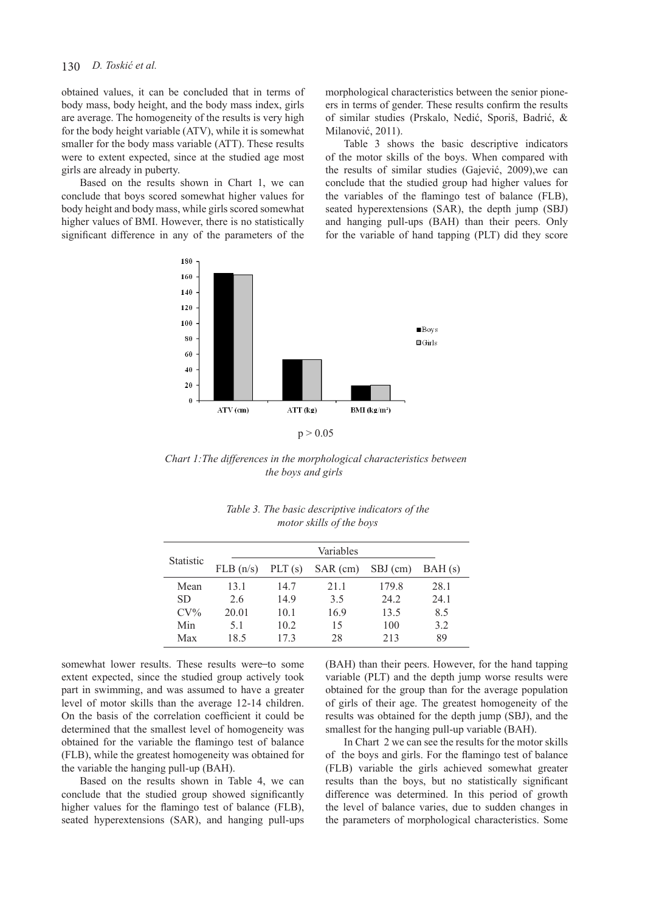# 130 *D. Toskić et al.*

obtained values, it can be concluded that in terms of body mass, body height, and the body mass index, girls are average. The homogeneity of the results is very high for the body height variable (ATV), while it is somewhat smaller for the body mass variable (ATT). These results were to extent expected, since at the studied age most girls are already in puberty.

Based on the results shown in Chart 1, we can conclude that boys scored somewhat higher values for body height and body mass, while girls scored somewhat higher values of BMI. However, there is no statistically significant difference in any of the parameters of the morphological characteristics between the senior pioneers in terms of gender. These results confirm the results of similar studies (Prskalo, Nedić, Sporiš, Badrić, & Milanović, 2011).

Table 3 shows the basic descriptive indicators of the motor skills of the boys. When compared with the results of similar studies (Gajević, 2009),we can conclude that the studied group had higher values for the variables of the flamingo test of balance (FLB), seated hyperextensions (SAR), the depth jump (SBJ) and hanging pull-ups (BAH) than their peers. Only for the variable of hand tapping (PLT) did they score



*Chart 1:The differences in the morphological characteristics between the boys and girls* 

| <b>Statistic</b> | Variables |           |          |          |        |
|------------------|-----------|-----------|----------|----------|--------|
|                  | FLB(n/s)  | PLT $(s)$ | SAR (cm) | SBJ (cm) | BAH(s) |
| Mean             | 13.1      | 14.7      | 21 1     | 179.8    | 28.1   |
| <b>SD</b>        | 2.6       | 14.9      | 3.5      | 24.2     | 24.1   |
| $CV\%$           | 20.01     | 10.1      | 16.9     | 13.5     | 8.5    |
| Min              | 51        | 10.2      | 15       | 100      | 3.2    |
| Max              | 18.5      | 173       | 28       | 213      | 89     |

|  | Table 3. The basic descriptive indicators of the |  |
|--|--------------------------------------------------|--|
|  | motor skills of the boys                         |  |

somewhat lower results. These results were-to some extent expected, since the studied group actively took part in swimming, and was assumed to have a greater level of motor skills than the average 12-14 children. On the basis of the correlation coefficient it could be determined that the smallest level of homogeneity was obtained for the variable the flamingo test of balance (FLB), while the greatest homogeneity was obtained for the variable the hanging pull-up (BAH).

Based on the results shown in Table 4, we can conclude that the studied group showed significantly higher values for the flamingo test of balance (FLB), seated hyperextensions (SAR), and hanging pull-ups (BAH) than their peers. However, for the hand tapping variable (PLT) and the depth jump worse results were obtained for the group than for the average population of girls of their age. The greatest homogeneity of the results was obtained for the depth jump (SBJ), and the smallest for the hanging pull-up variable (BAH).

In Chart 2 we can see the results for the motor skills of the boys and girls. For the flamingo test of balance (FLB) variable the girls achieved somewhat greater results than the boys, but no statistically significant difference was determined. In this period of growth the level of balance varies, due to sudden changes in the parameters of morphological characteristics. Some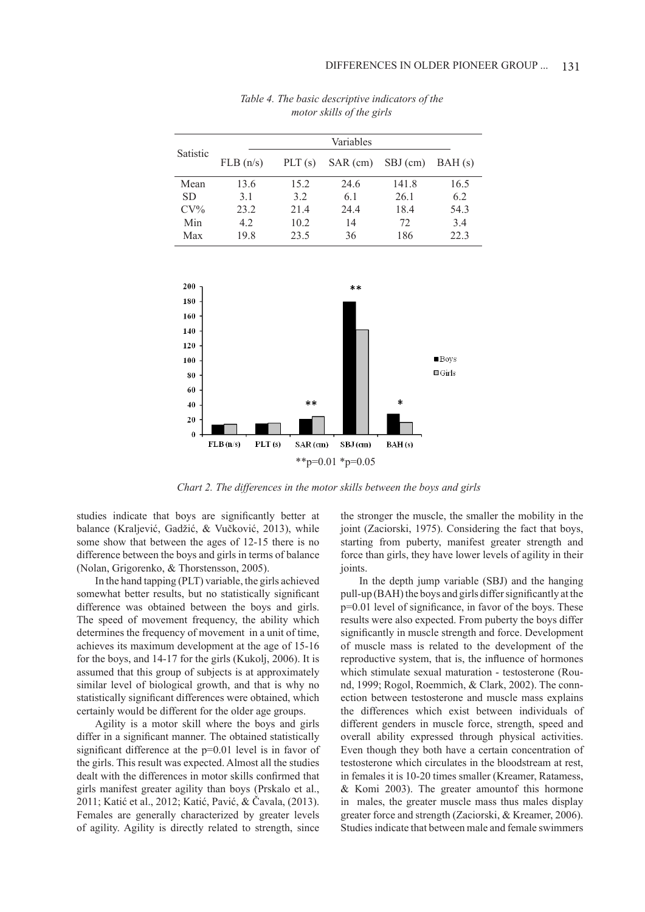| Satistic  | Variables |           |          |          |        |
|-----------|-----------|-----------|----------|----------|--------|
|           | FLB(n/s)  | PLT $(s)$ | SAR (cm) | SBJ (cm) | BAH(s) |
| Mean      | 13.6      | 15.2      | 24.6     | 141.8    | 16.5   |
| <b>SD</b> | 3.1       | 32        | 6.1      | 26.1     | 6.2    |
| $CV\%$    | 23.2      | 21.4      | 24.4     | 18.4     | 54.3   |
| Min       | 4.2       | 10.2      | 14       | 72       | 3.4    |
| Max       | 19.8      | 23.5      | 36       | 186      | 22.3   |

*Table 4. The basic descriptive indicators of the motor skills of the girls* 



*Chart 2. The differences in the motor skills between the boys and girls* 

studies indicate that boys are significantly better at balance (Kraljević, Gadžić, & Vučković, 2013), while some show that between the ages of 12-15 there is no difference between the boys and girls in terms of balance (Nolan, Grigorenko, & Thorstensson, 2005).

In the hand tapping (PLT) variable, the girls achieved somewhat better results, but no statistically significant difference was obtained between the boys and girls. The speed of movement frequency, the ability which determines the frequency of movement in a unit of time, achieves its maximum development at the age of 15-16 for the boys, and 14-17 for the girls (Kukolj, 2006). It is assumed that this group of subjects is at approximately similar level of biological growth, and that is why no statistically significant differences were obtained, which certainly would be different for the older age groups.

Agility is a motor skill where the boys and girls differ in a significant manner. The obtained statistically significant difference at the p=0.01 level is in favor of the girls. This result was expected. Almost all the studies dealt with the differences in motor skills confirmed that girls manifest greater agility than boys (Prskalo et al., 2011; Katić et al., 2012; Katić, Pavić, & Čavala, (2013). Females are generally characterized by greater levels of agility. Agility is directly related to strength, since the stronger the muscle, the smaller the mobility in the joint (Zaciorski, 1975). Considering the fact that boys, starting from puberty, manifest greater strength and force than girls, they have lower levels of agility in their joints.

In the depth jump variable (SBJ) and the hanging pull-up (BAH) the boys and girls differ significantly at the p=0.01 level of significance, in favor of the boys. These results were also expected. From puberty the boys differ significantly in muscle strength and force. Development of muscle mass is related to the development of the reproductive system, that is, the influence of hormones which stimulate sexual maturation - testosterone (Round, 1999; Rogol, Roemmich, & Clark, 2002). The connection between testosterone and muscle mass explains the differences which exist between individuals of different genders in muscle force, strength, speed and overall ability expressed through physical activities. Even though they both have a certain concentration of testosterone which circulates in the bloodstream at rest, in females it is 10-20 times smaller (Kreamer, Ratamess, & Komi 2003). The greater amountof this hormone in males, the greater muscle mass thus males display greater force and strength (Zaciorski, & Kreamer, 2006). Studies indicate that between male and female swimmers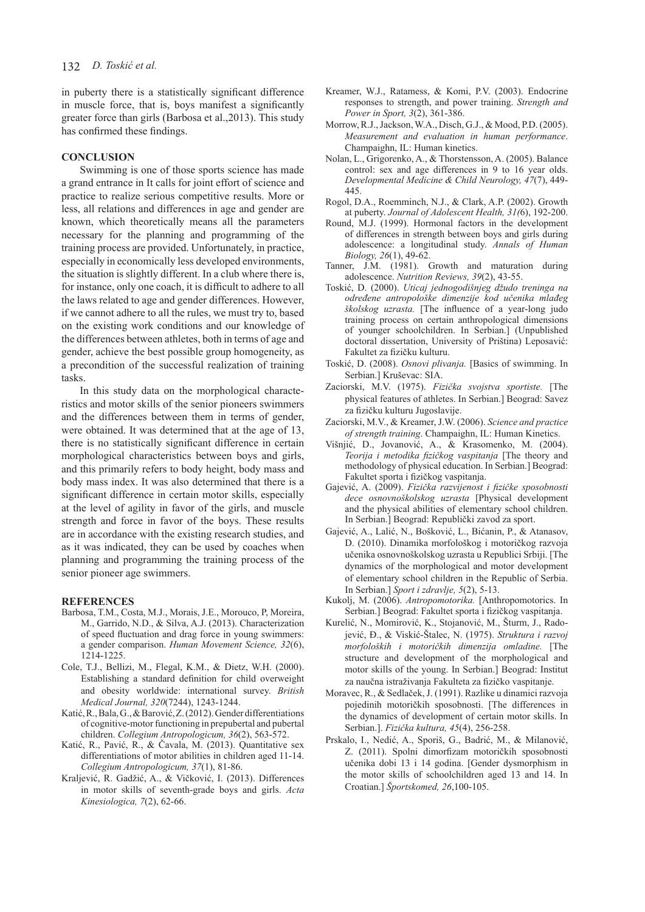in puberty there is a statistically significant difference in muscle force, that is, boys manifest a significantly greater force than girls (Barbosa et al.,2013). This study has confirmed these findings.

## **CONCLUSION**

Swimming is one of those sports science has made a grand entrance in It calls for joint effort of science and practice to realize serious competitive results. More or less, all relations and differences in age and gender are known, which theoretically means all the parameters necessary for the planning and programming of the training process are provided. Unfortunately, in practice, especially in economically less developed environments, the situation is slightly different. In a club where there is, for instance, only one coach, it is difficult to adhere to all the laws related to age and gender differences. However, if we cannot adhere to all the rules, we must try to, based on the existing work conditions and our knowledge of the differences between athletes, both in terms of age and gender, achieve the best possible group homogeneity, as a precondition of the successful realization of training tasks.

In this study data on the morphological characteristics and motor skills of the senior pioneers swimmers and the differences between them in terms of gender, were obtained. It was determined that at the age of 13, there is no statistically significant difference in certain morphological characteristics between boys and girls, and this primarily refers to body height, body mass and body mass index. It was also determined that there is a significant difference in certain motor skills, especially at the level of agility in favor of the girls, and muscle strength and force in favor of the boys. These results are in accordance with the existing research studies, and as it was indicated, they can be used by coaches when planning and programming the training process of the senior pioneer age swimmers.

#### **REFERENCES**

- Barbosa, T.M., Costa, M.J., Morais, J.E., Morouco, P, Moreira, M., Garrido, N.D., & Silva, A.J. (2013). Characterization of speed fluctuation and drag force in young swimmers: a gender comparison. *Human Movement Science, 32*(6), 1214-1225.
- Cole, T.J., Bellizi, M., Flegal, K.M., & Dietz, W.H. (2000). Establishing a standard definition for child overweight and obesity worldwide: international survey. *British Medical Journal, 320*(7244), 1243-1244.
- Katić, R., Bala, G., & Barović, Z. (2012). Gender differentiations of cognitive-motor functioning in prepubertal and pubertal children. *Collegium Antropologicum, 36*(2), 563-572.
- Katić, R., Pavić, R., & Čavala, M. (2013). Quantitative sex differentiations of motor abilities in children aged 11-14. *Collegium Antropologicum, 37*(1), 81-86.
- Kraljević, R. Gadžić, A., & Vičković, I. (2013). Differences in motor skills of seventh-grade boys and girls. *Acta Kinesiologica, 7*(2), 62-66.
- Kreamer, W.J., Ratamess, & Komi, P.V. (2003). Endocrine responses to strength, and power training. *Strength and Power in Sport, 3*(2), 361-386.
- Morrow, R.J., Jackson, W.A., Disch, G.J., & Mood, P.D. (2005). *Measurement and evaluation in human performance*. Champaighn, IL: Human kinetics.
- Nolan, L., Grigorenko, A., & Thorstensson, A. (2005). Balance control: sex and age differences in 9 to 16 year olds. *Developmental Medicine & Child Neurology, 47*(7), 449- 445.
- Rogol, D.A., Roemminch, N.J., & Clark, A.P. (2002). Growth at puberty. *Journal of Adolescent Health, 31(*6), 192-200.
- Round, M.J. (1999). Hormonal factors in the development of differences in strength between boys and girls during adolescence: a longitudinal study. *Annals of Human Biology, 26*(1), 49-62.
- Tanner, J.M. (1981). Growth and maturation during adolescence. *Nutrition Reviews, 39*(2), 43-55.
- Toskić, D. (2000). *Uticaj jednogodišnjeg džudo treninga na određene antropološke dimenzije kod učenika mlađeg školskog uzrasta.* [The influence of a year-long judo training process on certain anthropological dimensions of younger schoolchildren. In Serbian.] (Unpublished doctoral dissertation, University of Priština) Leposavić: Fakultet za fizičku kulturu.
- Toskić, D. (2008). *Osnovi plivanja.* [Basics of swimming. In Serbian.] Kruševac: SIA.
- Zaciorski, M.V. (1975). *Fizička svojstva sportiste.* [The physical features of athletes. In Serbian.] Beograd: Savez za fizičku kulturu Jugoslavije.
- Zaciorski, M.V., & Kreamer, J.W. (2006). *Science and practice of strength training*. Champaighn, IL: Human Kinetics.
- Višnjić, D., Jovanović, A., & Krasomenko, M. (2004). *Teorija i metodika fizičkog vaspitanja* [The theory and methodology of physical education. In Serbian.] Beograd: Fakultet sporta i fizičkog vaspitanja.
- Gajević, A. (2009). *Fizička razvijenost i fizičke sposobnosti dece osnovnoškolskog uzrasta* [Physical development and the physical abilities of elementary school children. In Serbian.] Beograd: Republički zavod za sport.
- Gajević, A., Lalić, N., Bošković, L., Bićanin, P., & Atanasov, D. (2010). Dinamika morfološkog i motoričkog razvoja učenika osnovnoškolskog uzrasta u Republici Srbiji. [The dynamics of the morphological and motor development of elementary school children in the Republic of Serbia. In Serbian.] *Sport i zdravlje, 5*(2), 5-13.
- Kukolj, M. (2006). *Antropomotorika.* [Anthropomotorics. In Serbian.] Beograd: Fakultet sporta i fizičkog vaspitanja.
- Kurelić, N., Momirović, K., Stojanović, M., Šturm, J., Radojević, Đ., & Viskić-Štalec, N. (1975). *Struktura i razvoj morfoloških i motoričkih dimenzija omladine.* [The structure and development of the morphological and motor skills of the young. In Serbian.] Beograd: Institut za naučna istraživanja Fakulteta za fizičko vaspitanje.
- Moravec, R., & Sedlaček, J. (1991). Razlike u dinamici razvoja pojedinih motoričkih sposobnosti. [The differences in the dynamics of development of certain motor skills. In Serbian.]. *Fizička kultura, 45*(4), 256-258.
- Prskalo, I., Nedić, A., Sporiš, G., Badrić, M., & Milanović, Z. (2011). Spolni dimorfizam motoričkih sposobnosti učenika dobi 13 i 14 godina. [Gender dysmorphism in the motor skills of schoolchildren aged 13 and 14. In Croatian.] *Športskomed, 26*,100-105.